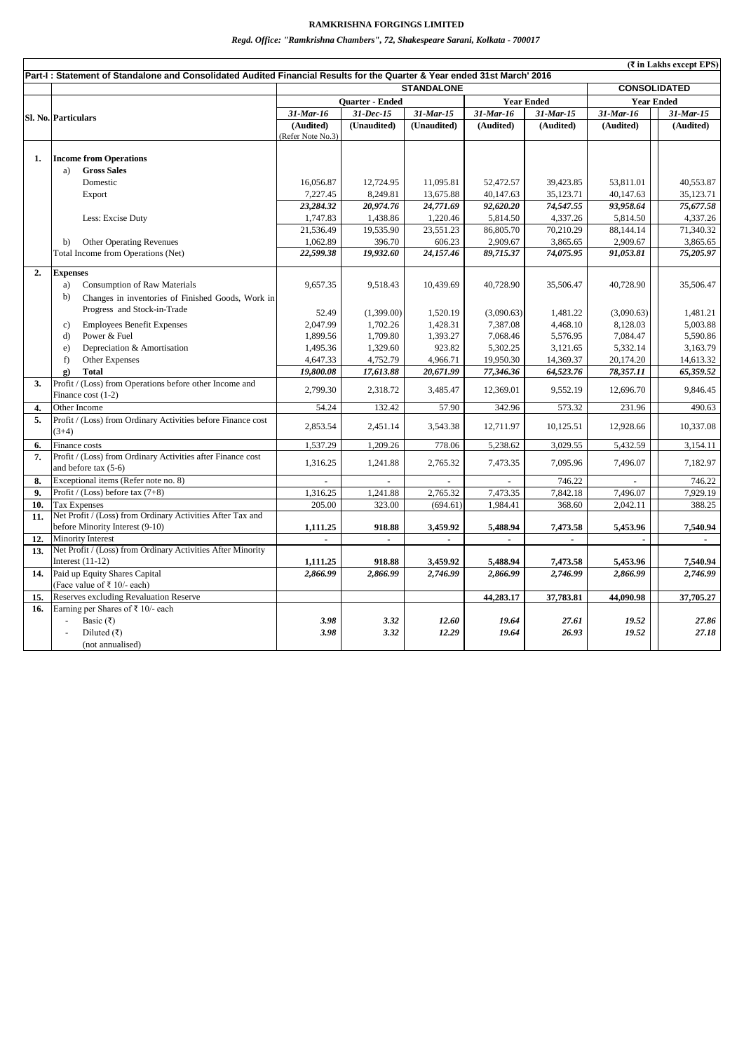## **RAMKRISHNA FORGINGS LIMITED**

*Regd. Office: "Ramkrishna Chambers", 72, Shakespeare Sarani, Kolkata - 700017*

|     |                                                                                               |                                                                                                                                                                      |             |                                 |            |                          |                   | (₹ in Lakhs except EPS) |  |  |  |
|-----|-----------------------------------------------------------------------------------------------|----------------------------------------------------------------------------------------------------------------------------------------------------------------------|-------------|---------------------------------|------------|--------------------------|-------------------|-------------------------|--|--|--|
|     |                                                                                               | Part-I: Statement of Standalone and Consolidated Audited Financial Results for the Quarter & Year ended 31st March' 2016<br><b>STANDALONE</b><br><b>CONSOLIDATED</b> |             |                                 |            |                          |                   |                         |  |  |  |
|     |                                                                                               | <b>Year Ended</b>                                                                                                                                                    |             |                                 |            |                          | <b>Year Ended</b> |                         |  |  |  |
|     |                                                                                               | Quarter - Ended<br>$31 - Dec-15$<br>$31$ -Mar-16                                                                                                                     |             | $31$ -Mar-16<br>$31$ -Mar- $15$ |            | 31-Mar-15                | 31-Mar-16         | $31$ -Mar-15            |  |  |  |
|     | Sl. No. Particulars                                                                           | (Audited)                                                                                                                                                            | (Unaudited) | (Unaudited)                     | (Audited)  | (Audited)                | (Audited)         | (Audited)               |  |  |  |
|     |                                                                                               | (Refer Note No.3)                                                                                                                                                    |             |                                 |            |                          |                   |                         |  |  |  |
|     |                                                                                               |                                                                                                                                                                      |             |                                 |            |                          |                   |                         |  |  |  |
| 1.  | <b>Income from Operations</b>                                                                 |                                                                                                                                                                      |             |                                 |            |                          |                   |                         |  |  |  |
|     | <b>Gross Sales</b><br>a)                                                                      |                                                                                                                                                                      |             |                                 |            |                          |                   |                         |  |  |  |
|     | Domestic                                                                                      | 16,056.87                                                                                                                                                            | 12.724.95   | 11,095.81                       | 52,472.57  | 39,423.85                | 53.811.01         | 40.553.87               |  |  |  |
|     | Export                                                                                        | 7,227.45                                                                                                                                                             | 8,249.81    | 13,675.88                       | 40,147.63  | 35,123.71                | 40,147.63         | 35,123.71               |  |  |  |
|     |                                                                                               | 23,284.32                                                                                                                                                            | 20,974.76   | 24,771.69                       | 92,620.20  | 74,547.55                | 93,958.64         | 75,677.58               |  |  |  |
|     | Less: Excise Duty                                                                             | 1,747.83                                                                                                                                                             | 1,438.86    | 1,220.46                        | 5,814.50   | 4,337.26                 | 5,814.50          | 4,337.26                |  |  |  |
|     |                                                                                               | 21,536.49                                                                                                                                                            | 19,535.90   | 23,551.23                       | 86,805.70  | 70,210.29                | 88,144.14         | 71,340.32               |  |  |  |
|     | <b>Other Operating Revenues</b><br>b)                                                         | 1,062.89                                                                                                                                                             | 396.70      | 606.23                          | 2,909.67   | 3,865.65                 | 2,909.67          | 3,865.65                |  |  |  |
|     | Total Income from Operations (Net)                                                            | 22,599.38                                                                                                                                                            | 19,932.60   | 24,157.46                       | 89,715.37  | 74,075.95                | 91,053.81         | 75,205.97               |  |  |  |
| 2.  | <b>Expenses</b>                                                                               |                                                                                                                                                                      |             |                                 |            |                          |                   |                         |  |  |  |
|     | Consumption of Raw Materials<br>a)                                                            | 9,657.35                                                                                                                                                             | 9,518.43    | 10,439.69                       | 40,728.90  | 35,506.47                | 40,728.90         | 35,506.47               |  |  |  |
|     | Changes in inventories of Finished Goods, Work in<br>b)                                       |                                                                                                                                                                      |             |                                 |            |                          |                   |                         |  |  |  |
|     | Progress and Stock-in-Trade                                                                   | 52.49                                                                                                                                                                | (1,399.00)  | 1,520.19                        | (3,090.63) | 1.481.22                 | (3,090.63)        | 1.481.21                |  |  |  |
|     | <b>Employees Benefit Expenses</b><br>c)                                                       | 2,047.99                                                                                                                                                             | 1,702.26    | 1,428.31                        | 7,387.08   | 4,468.10                 | 8,128.03          | 5,003.88                |  |  |  |
|     | Power & Fuel<br>d)                                                                            | 1,899.56                                                                                                                                                             | 1,709.80    | 1,393.27                        | 7,068.46   | 5,576.95                 | 7,084.47          | 5,590.86                |  |  |  |
|     | Depreciation & Amortisation<br>e)                                                             | 1,495.36                                                                                                                                                             | 1,329.60    | 923.82                          | 5,302.25   | 3,121.65                 | 5,332.14          | 3,163.79                |  |  |  |
|     | f<br>Other Expenses                                                                           | 4,647.33                                                                                                                                                             | 4,752.79    | 4,966.71                        | 19,950.30  | 14,369.37                | 20,174.20         | 14,613.32               |  |  |  |
|     | <b>Total</b><br>$\mathbf{g}$                                                                  | 19,800.08                                                                                                                                                            | 17,613.88   | 20,671.99                       | 77,346.36  | 64,523.76                | 78,357.11         | 65,359.52               |  |  |  |
| 3.  | Profit / (Loss) from Operations before other Income and                                       |                                                                                                                                                                      |             |                                 |            |                          |                   |                         |  |  |  |
|     | Finance cost (1-2)                                                                            | 2,799.30                                                                                                                                                             | 2,318.72    | 3,485.47                        | 12,369.01  | 9,552.19                 | 12,696.70         | 9,846.45                |  |  |  |
| 4.  | Other Income                                                                                  | 54.24                                                                                                                                                                | 132.42      | 57.90                           | 342.96     | 573.32                   | 231.96            | 490.63                  |  |  |  |
| 5.  | Profit / (Loss) from Ordinary Activities before Finance cost                                  |                                                                                                                                                                      |             |                                 |            |                          |                   |                         |  |  |  |
|     | $(3+4)$                                                                                       | 2,853.54                                                                                                                                                             | 2,451.14    | 3,543.38                        | 12,711.97  | 10,125.51                | 12,928.66         | 10,337.08               |  |  |  |
| 6.  | Finance costs                                                                                 | 1,537.29                                                                                                                                                             | 1,209.26    | 778.06                          | 5,238.62   | 3,029.55                 | 5,432.59          | 3,154.11                |  |  |  |
| 7.  | Profit / (Loss) from Ordinary Activities after Finance cost                                   | 1,316.25                                                                                                                                                             | 1,241.88    | 2,765.32                        | 7,473.35   | 7,095.96                 | 7,496.07          | 7,182.97                |  |  |  |
|     | and before tax (5-6)                                                                          |                                                                                                                                                                      |             |                                 |            |                          |                   |                         |  |  |  |
| 8.  | Exceptional items (Refer note no. 8)                                                          |                                                                                                                                                                      |             |                                 |            | 746.22                   |                   | 746.22                  |  |  |  |
| 9.  | Profit / (Loss) before tax $(7+8)$                                                            | 1,316.25                                                                                                                                                             | 1,241.88    | 2,765.32                        | 7,473.35   | 7,842.18                 | 7,496.07          | 7,929.19                |  |  |  |
| 10. | <b>Tax Expenses</b>                                                                           | 205.00                                                                                                                                                               | 323.00      | (694.61)                        | 1,984.41   | 368.60                   | 2,042.11          | 388.25                  |  |  |  |
| 11. | Net Profit / (Loss) from Ordinary Activities After Tax and<br>before Minority Interest (9-10) |                                                                                                                                                                      | 918.88      | 3,459.92                        | 5,488.94   |                          | 5,453.96          | 7,540.94                |  |  |  |
| 12. | Minority Interest                                                                             | 1,111.25<br>÷.                                                                                                                                                       | ÷.          |                                 |            | 7,473.58<br>$\mathbf{r}$ |                   |                         |  |  |  |
| 13. | Net Profit / (Loss) from Ordinary Activities After Minority                                   |                                                                                                                                                                      |             |                                 |            |                          |                   |                         |  |  |  |
|     | Interest $(11-12)$                                                                            | 1,111.25                                                                                                                                                             | 918.88      | 3,459.92                        | 5,488.94   | 7,473.58                 | 5,453.96          | 7,540.94                |  |  |  |
| 14. | Paid up Equity Shares Capital                                                                 | 2,866.99                                                                                                                                                             | 2,866.99    | 2,746.99                        | 2,866.99   | 2,746.99                 | 2,866.99          | 2,746.99                |  |  |  |
|     | (Face value of ₹ 10/- each)                                                                   |                                                                                                                                                                      |             |                                 |            |                          |                   |                         |  |  |  |
| 15. | Reserves excluding Revaluation Reserve                                                        |                                                                                                                                                                      |             |                                 | 44,283.17  | 37,783.81                | 44,090.98         | 37,705.27               |  |  |  |
| 16. | Earning per Shares of ₹ 10/- each                                                             |                                                                                                                                                                      |             |                                 |            |                          |                   |                         |  |  |  |
|     | Basic (₹)                                                                                     | 3.98                                                                                                                                                                 | 3.32        | 12.60                           | 19.64      | 27.61                    | 19.52             | 27.86                   |  |  |  |
|     | Diluted (₹)                                                                                   | 3.98                                                                                                                                                                 | 3.32        | 12.29                           | 19.64      | 26.93                    | 19.52             | 27.18                   |  |  |  |
|     | (not annualised)                                                                              |                                                                                                                                                                      |             |                                 |            |                          |                   |                         |  |  |  |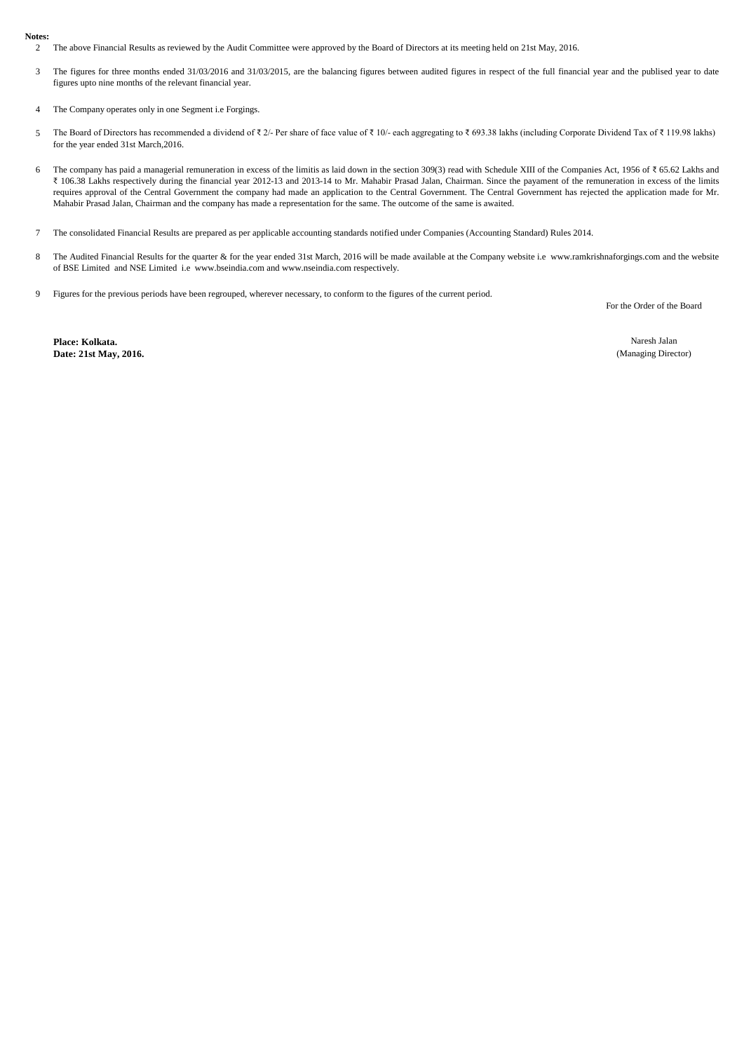## **Notes:**

- 2 The above Financial Results as reviewed by the Audit Committee were approved by the Board of Directors at its meeting held on 21st May, 2016.
- 3 The figures for three months ended 31/03/2016 and 31/03/2015, are the balancing figures between audited figures in respect of the full financial year and the publised year to date figures upto nine months of the relevant financial year.
- 4 The Company operates only in one Segment i.e Forgings.
- 5 The Board of Directors has recommended a dividend of ₹ 2/- Per share of face value of ₹ 10/- each aggregating to ₹ 693.38 lakhs (including Corporate Dividend Tax of ₹ 119.98 lakhs) for the year ended 31st March,2016.
- 6 The company has paid a managerial remuneration in excess of the limitis as laid down in the section 309(3) read with Schedule XIII of the Companies Act, 1956 of ₹ 65.62 Lakhs and ₹ 106.38 Lakhs respectively during the financial year 2012-13 and 2013-14 to Mr. Mahabir Prasad Jalan, Chairman. Since the payament of the remuneration in excess of the limits requires approval of the Central Government the company had made an application to the Central Government. The Central Government has rejected the application made for Mr. Mahabir Prasad Jalan, Chairman and the company has made a representation for the same. The outcome of the same is awaited.
- 7 The consolidated Financial Results are prepared as per applicable accounting standards notified under Companies (Accounting Standard) Rules 2014.
- 8 The Audited Financial Results for the quarter & for the year ended 31st March, 2016 will be made available at the Company website i.e www.ramkrishnaforgings.com and the website of BSE Limited and NSE Limited i.e www.bseindia.com and www.nseindia.com respectively.
- 9 Figures for the previous periods have been regrouped, wherever necessary, to conform to the figures of the current period.

For the Order of the Board

**Place: Kolkata. Date: 21st May, 2016.**

Naresh Jalan (Managing Director)